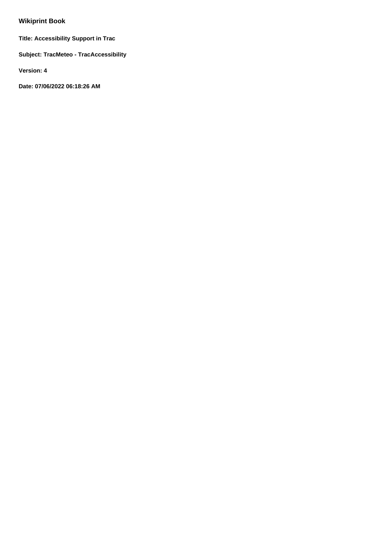# **Wikiprint Book**

**Title: Accessibility Support in Trac**

**Subject: TracMeteo - TracAccessibility**

**Version: 4**

**Date: 07/06/2022 06:18:26 AM**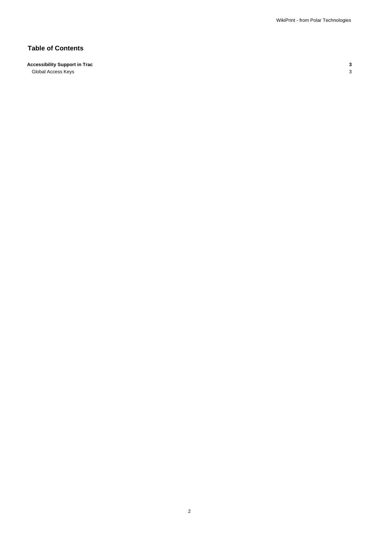## **Table of Contents**

## **Accessibility Support in Trac 3**

Global Access Keys 3